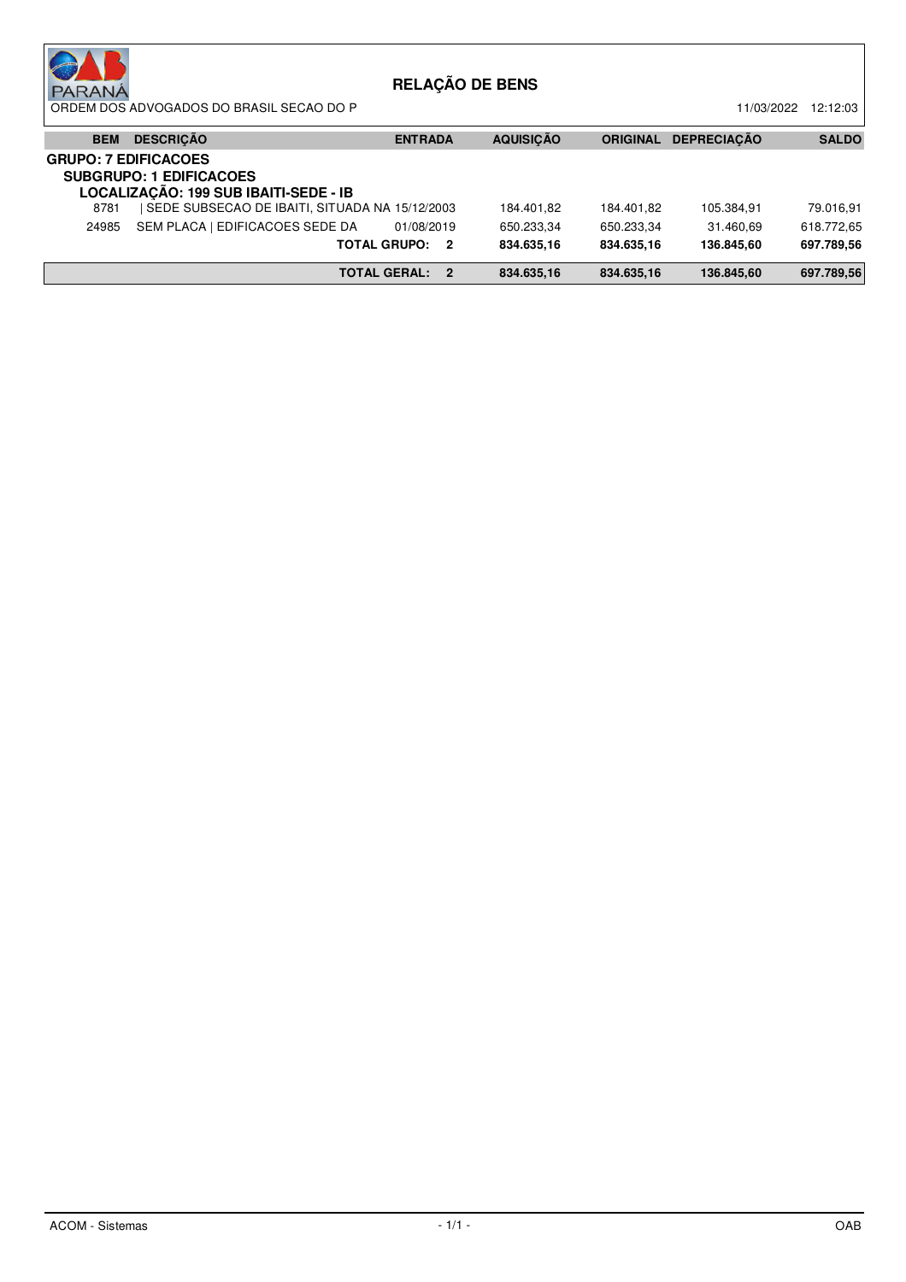| <b>PARANA</b>               | ORDEM DOS ADVOGADOS DO BRASIL SECAO DO P                                          |                     |   | <b>RELAÇÃO DE BENS</b>   |                          | 11/03/2022              | 12:12:03                |
|-----------------------------|-----------------------------------------------------------------------------------|---------------------|---|--------------------------|--------------------------|-------------------------|-------------------------|
| <b>BEM</b>                  | <b>DESCRIÇÃO</b>                                                                  | <b>ENTRADA</b>      |   | <b>AQUISICÃO</b>         | <b>ORIGINAL</b>          | <b>DEPRECIACÃO</b>      | <b>SALDO</b>            |
| <b>GRUPO: 7 EDIFICACOES</b> | <b>SUBGRUPO: 1 EDIFICACOES</b><br>LOCALIZAÇÃO: 199 SUB IBAITI-SEDE - IB           |                     |   |                          |                          |                         |                         |
| 8781<br>24985               | SEDE SUBSECAO DE IBAITI, SITUADA NA 15/12/2003<br>SEM PLACA   EDIFICACOES SEDE DA | 01/08/2019          |   | 184.401.82<br>650.233.34 | 184.401.82<br>650.233.34 | 105.384,91<br>31.460.69 | 79.016,91<br>618.772.65 |
|                             |                                                                                   | TOTAL GRUPO: 2      |   | 834.635,16               | 834.635.16               | 136.845.60              | 697.789.56              |
|                             |                                                                                   | <b>TOTAL GERAL:</b> | 2 | 834.635,16               | 834.635,16               | 136.845,60              | 697.789,56              |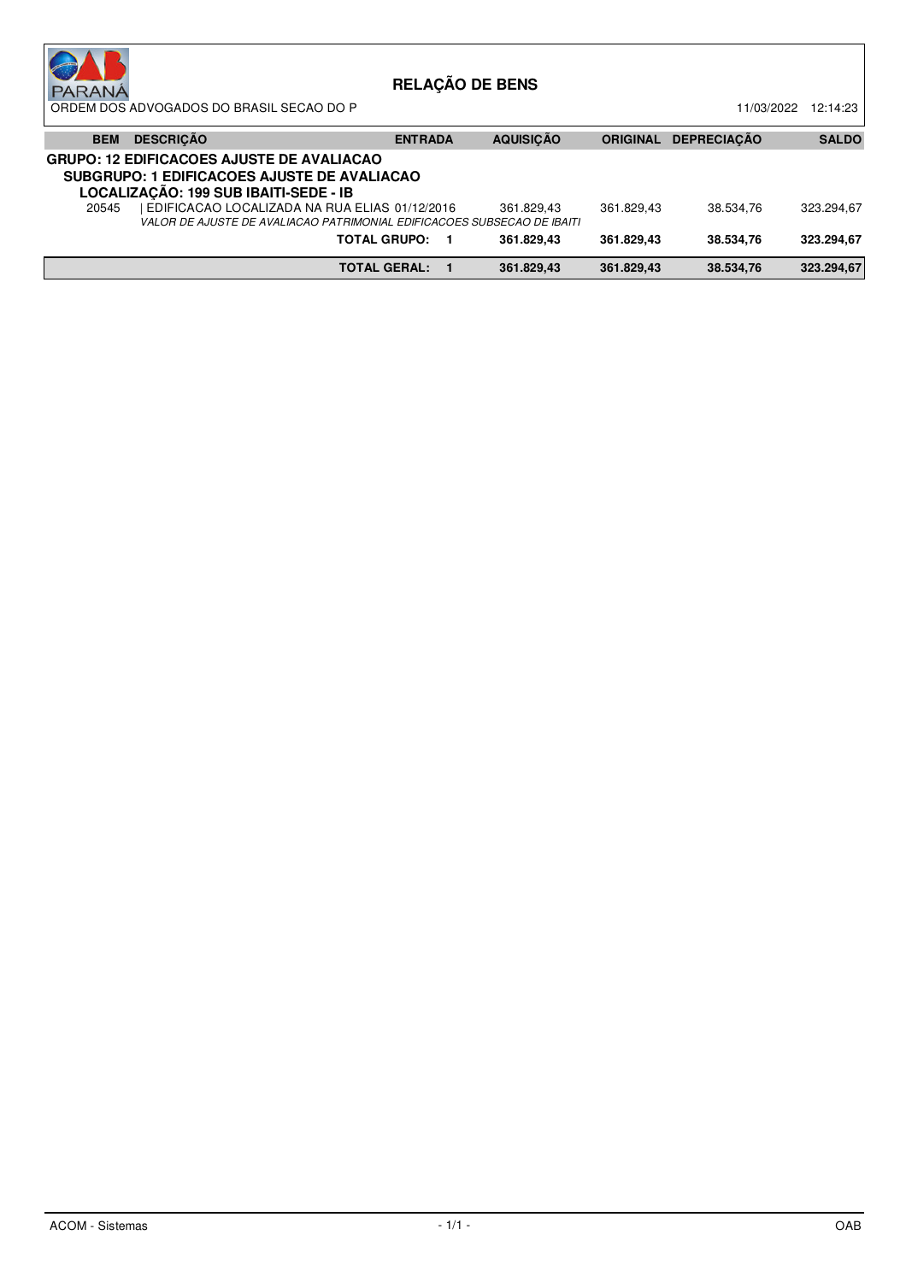| <b>PARANA</b> | ORDEM DOS ADVOGADOS DO BRASIL SECAO DO P                                                                                                 |                     | <b>RELAÇÃO DE BENS</b> |                 | 11/03/2022         | 12:14:23     |
|---------------|------------------------------------------------------------------------------------------------------------------------------------------|---------------------|------------------------|-----------------|--------------------|--------------|
| <b>BEM</b>    | <b>DESCRICÃO</b>                                                                                                                         | <b>ENTRADA</b>      | <b>AQUISICÃO</b>       | <b>ORIGINAL</b> | <b>DEPRECIACÃO</b> | <b>SALDO</b> |
|               | <b>GRUPO: 12 EDIFICACOES AJUSTE DE AVALIACAO</b><br>SUBGRUPO: 1 EDIFICACOES AJUSTE DE AVALIACAO<br>LOCALIZAÇÃO: 199 SUB IBAITI-SEDE - IB |                     |                        |                 |                    |              |
| 20545         | EDIFICACAO LOCALIZADA NA RUA ELIAS 01/12/2016<br>VALOR DE AJUSTE DE AVALIACAO PATRIMONIAL EDIFICACOES SUBSECAO DE IBAITI                 |                     | 361.829.43             | 361.829.43      | 38.534.76          | 323.294.67   |
|               |                                                                                                                                          | <b>TOTAL GRUPO:</b> | 361.829.43             | 361.829.43      | 38.534.76          | 323.294.67   |
|               |                                                                                                                                          | <b>TOTAL GERAL:</b> | 361.829,43             | 361.829.43      | 38.534.76          | 323.294,67   |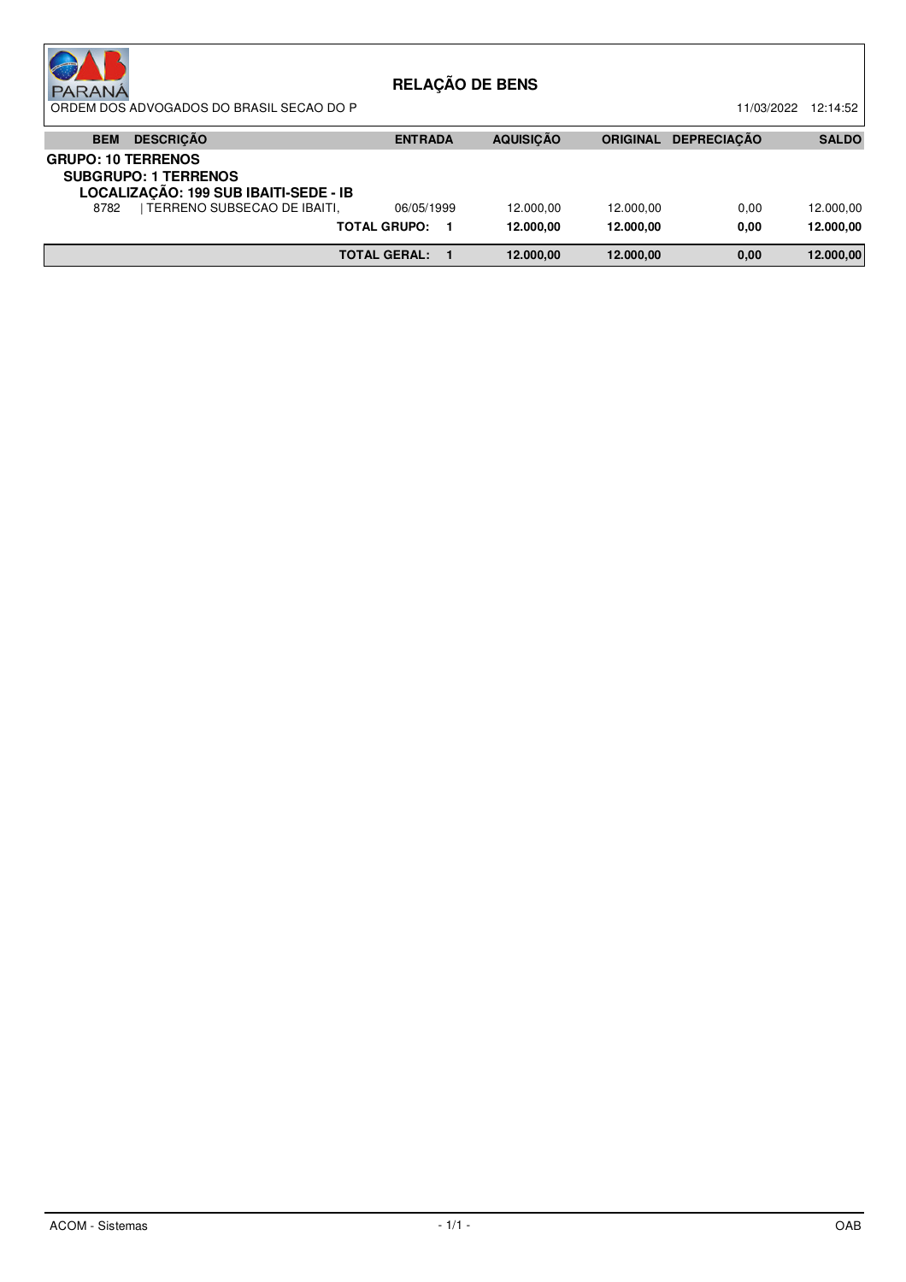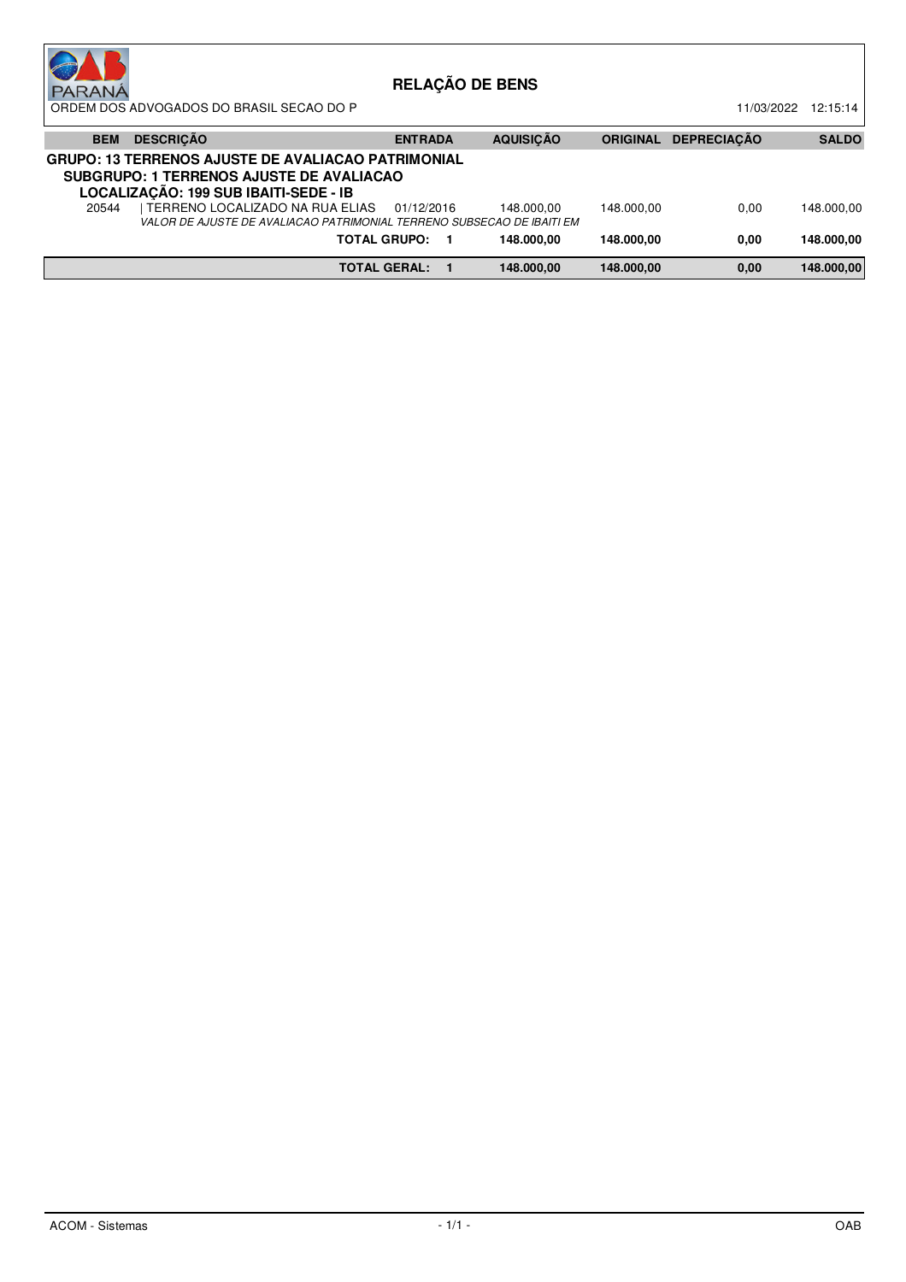| <b>PARANÁ</b> | ORDEM DOS ADVOGADOS DO BRASIL SECAO DO P                                                                                                       |                     | <b>RELAÇÃO DE BENS</b> |                 | 11/03/2022         | 12:15:14     |
|---------------|------------------------------------------------------------------------------------------------------------------------------------------------|---------------------|------------------------|-----------------|--------------------|--------------|
| <b>BEM</b>    | <b>DESCRIÇÃO</b>                                                                                                                               | <b>ENTRADA</b>      | <b>AQUISICÃO</b>       | <b>ORIGINAL</b> | <b>DEPRECIACÃO</b> | <b>SALDO</b> |
|               | <b>GRUPO: 13 TERRENOS AJUSTE DE AVALIACAO PATRIMONIAL</b><br>SUBGRUPO: 1 TERRENOS AJUSTE DE AVALIACAO<br>LOCALIZAÇÃO: 199 SUB IBAITI-SEDE - IB |                     |                        |                 |                    |              |
| 20544         | I TERRENO LOCALIZADO NA RUA ELIAS<br>VALOR DE AJUSTE DE AVALIACAO PATRIMONIAL TERRENO SUBSECAO DE IBAITI EM                                    | 01/12/2016          | 148.000.00             | 148.000.00      | 0.00               | 148.000.00   |
|               |                                                                                                                                                | <b>TOTAL GRUPO:</b> | 148.000.00             | 148.000.00      | 0,00               | 148.000.00   |
|               |                                                                                                                                                | <b>TOTAL GERAL:</b> | 148.000.00             | 148.000.00      | 0,00               | 148.000,00   |